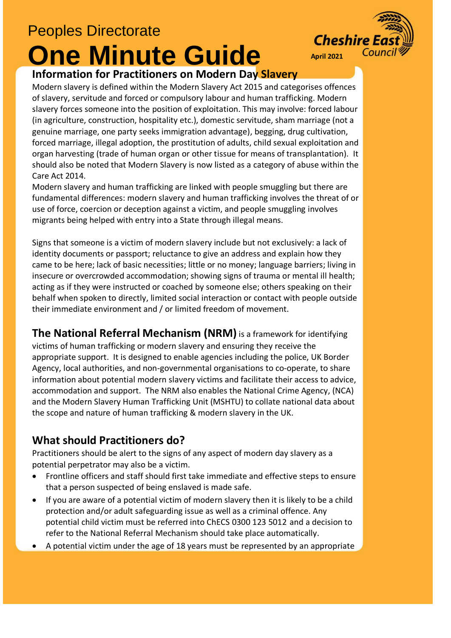## Peoples Directorate

# **One Minute Guide**



#### **Information for Practitioners on Modern Day Slavery**

Modern slavery is defined within the Modern Slavery Act 2015 and categorises offences of slavery, servitude and forced or compulsory labour and human trafficking. Modern slavery forces someone into the position of exploitation. This may involve: forced labour (in agriculture, construction, hospitality etc.), domestic servitude, sham marriage (not a genuine marriage, one party seeks immigration advantage), begging, drug cultivation, forced marriage, illegal adoption, the prostitution of adults, child sexual exploitation and organ harvesting (trade of human organ or other tissue for means of transplantation). It should also be noted that Modern Slavery is now listed as a category of abuse within the Care Act 2014.

Modern slavery and human trafficking are linked with people smuggling but there are fundamental differences: modern slavery and human trafficking involves the threat of or use of force, coercion or deception against a victim, and people smuggling involves migrants being helped with entry into a State through illegal means.

Signs that someone is a victim of modern slavery include but not exclusively: a lack of identity documents or passport; reluctance to give an address and explain how they came to be here; lack of basic necessities; little or no money; language barriers; living in insecure or overcrowded accommodation; showing signs of trauma or mental ill health; acting as if they were instructed or coached by someone else; others speaking on their behalf when spoken to directly, limited social interaction or contact with people outside their immediate environment and / or limited freedom of movement.

**The National Referral Mechanism (NRM)** is a framework for identifying

victims of human trafficking or modern slavery and ensuring they receive the appropriate support. It is designed to enable agencies including the police, UK Border Agency, local authorities, and non-governmental organisations to co-operate, to share information about potential modern slavery victims and facilitate their access to advice, accommodation and support. The NRM also enables the National Crime Agency, (NCA) and the Modern Slavery Human Trafficking Unit (MSHTU) to collate national data about the scope and nature of human trafficking & modern slavery in the UK.

### **What should Practitioners do?**

Practitioners should be alert to the signs of any aspect of modern day slavery as a potential perpetrator may also be a victim.

- Frontline officers and staff should first take immediate and effective steps to ensure that a person suspected of being enslaved is made safe.
- If you are aware of a potential victim of modern slavery then it is likely to be a child protection and/or adult safeguarding issue as well as a criminal offence. Any potential child victim must be referred into ChECS 0300 123 5012 and a decision to refer to the National Referral Mechanism should take place automatically.
- A potential victim under the age of 18 years must be represented by an appropriate